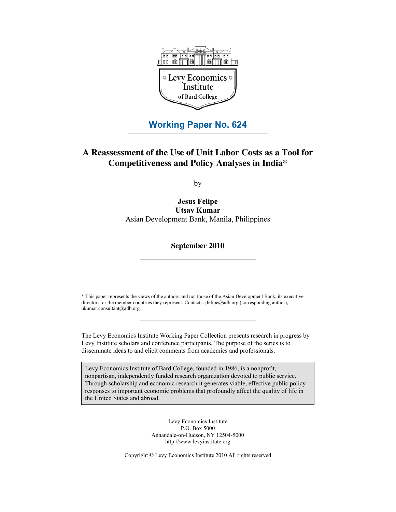

## **Working Paper No. 624**

## **A Reassessment of the Use of Unit Labor Costs as a Tool for Competitiveness and Policy Analyses in India\***

by

**Jesus Felipe Utsav Kumar** Asian Development Bank, Manila, Philippines

#### **September 2010**

\* This paper represents the views of the authors and not those of the Asian Development Bank, its executive directors, or the member countries they represent. Contacts: jfelipe@adb.org (corresponding author); ukumar.consultant@adb.org.

The Levy Economics Institute Working Paper Collection presents research in progress by Levy Institute scholars and conference participants. The purpose of the series is to disseminate ideas to and elicit comments from academics and professionals.

Levy Economics Institute of Bard College, founded in 1986, is a nonprofit, nonpartisan, independently funded research organization devoted to public service. Through scholarship and economic research it generates viable, effective public policy responses to important economic problems that profoundly affect the quality of life in the United States and abroad.

> Levy Economics Institute P.O. Box 5000 Annandale-on-Hudson, NY 12504-5000 http://www.levyinstitute.org

Copyright © Levy Economics Institute 2010 All rights reserved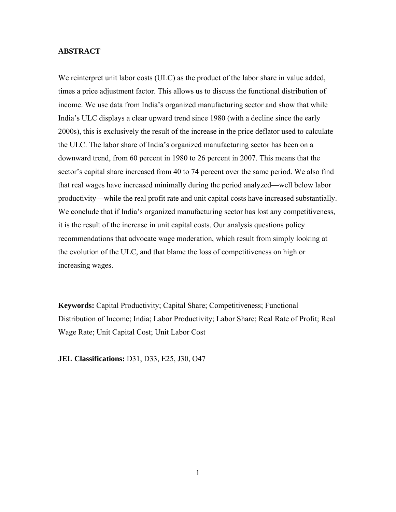#### **ABSTRACT**

We reinterpret unit labor costs (ULC) as the product of the labor share in value added, times a price adjustment factor. This allows us to discuss the functional distribution of income. We use data from India's organized manufacturing sector and show that while India's ULC displays a clear upward trend since 1980 (with a decline since the early 2000s), this is exclusively the result of the increase in the price deflator used to calculate the ULC. The labor share of India's organized manufacturing sector has been on a downward trend, from 60 percent in 1980 to 26 percent in 2007. This means that the sector's capital share increased from 40 to 74 percent over the same period. We also find that real wages have increased minimally during the period analyzed—well below labor productivity—while the real profit rate and unit capital costs have increased substantially. We conclude that if India's organized manufacturing sector has lost any competitiveness, it is the result of the increase in unit capital costs. Our analysis questions policy recommendations that advocate wage moderation, which result from simply looking at the evolution of the ULC, and that blame the loss of competitiveness on high or increasing wages.

**Keywords:** Capital Productivity; Capital Share; Competitiveness; Functional Distribution of Income; India; Labor Productivity; Labor Share; Real Rate of Profit; Real Wage Rate; Unit Capital Cost; Unit Labor Cost

**JEL Classifications:** D31, D33, E25, J30, O47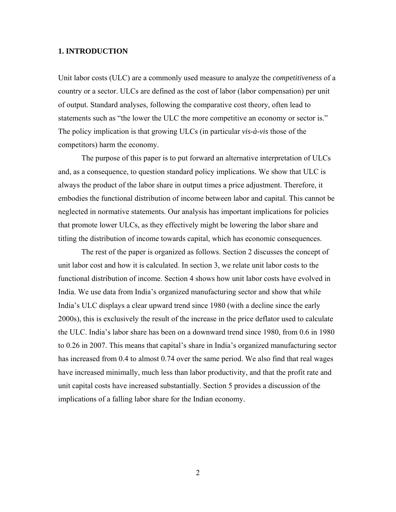#### **1. INTRODUCTION**

Unit labor costs (ULC) are a commonly used measure to analyze the *competitiveness* of a country or a sector. ULCs are defined as the cost of labor (labor compensation) per unit of output. Standard analyses, following the comparative cost theory, often lead to statements such as "the lower the ULC the more competitive an economy or sector is." The policy implication is that growing ULCs (in particular *vis-à-vis* those of the competitors) harm the economy.

The purpose of this paper is to put forward an alternative interpretation of ULCs and, as a consequence, to question standard policy implications. We show that ULC is always the product of the labor share in output times a price adjustment. Therefore, it embodies the functional distribution of income between labor and capital. This cannot be neglected in normative statements. Our analysis has important implications for policies that promote lower ULCs, as they effectively might be lowering the labor share and titling the distribution of income towards capital, which has economic consequences.

The rest of the paper is organized as follows. Section 2 discusses the concept of unit labor cost and how it is calculated. In section 3, we relate unit labor costs to the functional distribution of income. Section 4 shows how unit labor costs have evolved in India. We use data from India's organized manufacturing sector and show that while India's ULC displays a clear upward trend since 1980 (with a decline since the early 2000s), this is exclusively the result of the increase in the price deflator used to calculate the ULC. India's labor share has been on a downward trend since 1980, from 0.6 in 1980 to 0.26 in 2007. This means that capital's share in India's organized manufacturing sector has increased from 0.4 to almost 0.74 over the same period. We also find that real wages have increased minimally, much less than labor productivity, and that the profit rate and unit capital costs have increased substantially. Section 5 provides a discussion of the implications of a falling labor share for the Indian economy.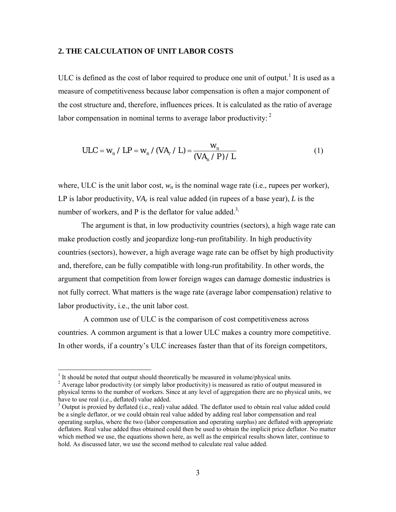#### **2. THE CALCULATION OF UNIT LABOR COSTS**

ULC is defined as the cost of labor required to produce one unit of output.<sup>1</sup> It is used as a measure of competitiveness because labor compensation is often a major component of the cost structure and, therefore, influences prices. It is calculated as the ratio of average labor compensation in nominal terms to average labor productivity:  $2^2$ 

$$
ULC = w_n / LP = w_n / (VA_r / L) = \frac{w_n}{(VA_n / P) / L}
$$
 (1)

where, ULC is the unit labor cost,  $w_n$  is the nominal wage rate (i.e., rupees per worker), LP is labor productivity,  $VA<sub>r</sub>$  is real value added (in rupees of a base year), *L* is the number of workers, and P is the deflator for value added.<sup>3,</sup>

The argument is that, in low productivity countries (sectors), a high wage rate can make production costly and jeopardize long-run profitability. In high productivity countries (sectors), however, a high average wage rate can be offset by high productivity and, therefore, can be fully compatible with long-run profitability. In other words, the argument that competition from lower foreign wages can damage domestic industries is not fully correct. What matters is the wage rate (average labor compensation) relative to labor productivity, i.e., the unit labor cost.

 A common use of ULC is the comparison of cost competitiveness across countries. A common argument is that a lower ULC makes a country more competitive. In other words, if a country's ULC increases faster than that of its foreign competitors,

 $\overline{a}$ 

 $<sup>1</sup>$  It should be noted that output should theoretically be measured in volume/physical units.</sup>

 $2$  Average labor productivity (or simply labor productivity) is measured as ratio of output measured in physical terms to the number of workers. Since at any level of aggregation there are no physical units, we have to use real (i.e., deflated) value added.

 $3$  Output is proxied by deflated (i.e., real) value added. The deflator used to obtain real value added could be a single deflator, or we could obtain real value added by adding real labor compensation and real operating surplus, where the two (labor compensation and operating surplus) are deflated with appropriate deflators. Real value added thus obtained could then be used to obtain the implicit price deflator. No matter which method we use, the equations shown here, as well as the empirical results shown later, continue to hold. As discussed later, we use the second method to calculate real value added.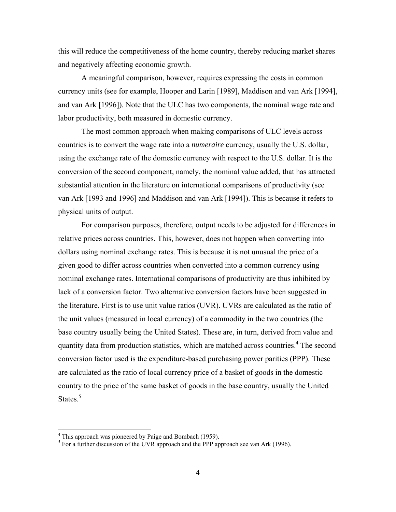this will reduce the competitiveness of the home country, thereby reducing market shares and negatively affecting economic growth.

A meaningful comparison, however, requires expressing the costs in common currency units (see for example, Hooper and Larin [1989], Maddison and van Ark [1994], and van Ark [1996]). Note that the ULC has two components, the nominal wage rate and labor productivity, both measured in domestic currency.

The most common approach when making comparisons of ULC levels across countries is to convert the wage rate into a *numeraire* currency, usually the U.S. dollar, using the exchange rate of the domestic currency with respect to the U.S. dollar. It is the conversion of the second component, namely, the nominal value added, that has attracted substantial attention in the literature on international comparisons of productivity (see van Ark [1993 and 1996] and Maddison and van Ark [1994]). This is because it refers to physical units of output.

For comparison purposes, therefore, output needs to be adjusted for differences in relative prices across countries. This, however, does not happen when converting into dollars using nominal exchange rates. This is because it is not unusual the price of a given good to differ across countries when converted into a common currency using nominal exchange rates. International comparisons of productivity are thus inhibited by lack of a conversion factor. Two alternative conversion factors have been suggested in the literature. First is to use unit value ratios (UVR). UVRs are calculated as the ratio of the unit values (measured in local currency) of a commodity in the two countries (the base country usually being the United States). These are, in turn, derived from value and quantity data from production statistics, which are matched across countries.<sup>4</sup> The second conversion factor used is the expenditure-based purchasing power parities (PPP). These are calculated as the ratio of local currency price of a basket of goods in the domestic country to the price of the same basket of goods in the base country, usually the United States.<sup>5</sup>

 4 This approach was pioneered by Paige and Bombach (1959).

 $<sup>5</sup>$  For a further discussion of the UVR approach and the PPP approach see van Ark (1996).</sup>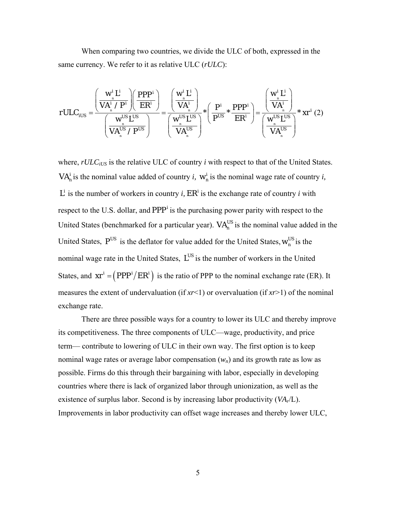When comparing two countries, we divide the ULC of both, expressed in the same currency. We refer to it as relative ULC (*rULC*):

$$
rULC_{iUS} = \frac{\left(\frac{W_{n}^{i} L^{i}}{VA_{n}^{i} / P^{i}}\right)\left(\frac{PPP^{i}}{ER^{i}}\right)}{\left(\frac{W_{n}^{US} L^{US}}{VA_{n}^{US} / P^{US}}\right)} = \frac{\left(\frac{W_{n}^{i} L^{i}}{VA_{n}^{i}}\right)}{\left(\frac{W_{n}^{US} L^{US}}{VA_{n}^{US}}\right)} * \left(\frac{P^{i}}{P^{US}} * \frac{PPP^{i}}{ER^{i}}\right) = \frac{\left(\frac{W_{n}^{i} L^{i}}{VA_{n}^{US}}\right)}{\left(\frac{W_{n}^{US} L^{US}}{VA_{n}^{US}}\right)} * xr^{i} (2)
$$

where,  $rULC<sub>iUS</sub>$  is the relative ULC of country *i* with respect to that of the United States.  $VA<sub>n</sub><sup>i</sup>$  is the nominal value added of country *i*,  $w<sub>n</sub><sup>j</sup>$  is the nominal wage rate of country *i*,  $L^i$  is the number of workers in country *i*,  $ER^i$  is the exchange rate of country *i* with respect to the U.S. dollar, and *PPP*<sup>*i*</sup> is the purchasing power parity with respect to the United States (benchmarked for a particular year).  $VA<sub>n</sub><sup>US</sup>$  is the nominal value added in the United States,  $P^{US}$  is the deflator for value added for the United States,  $W_n^{US}$  is the nominal wage rate in the United States,  $L^{US}$  is the number of workers in the United States, and  $xr' = (PPP^i / ER^i)$  is the ratio of PPP to the nominal exchange rate (ER). It measures the extent of undervaluation (if *xr*<1) or overvaluation (if *xr*>1) of the nominal exchange rate.

There are three possible ways for a country to lower its ULC and thereby improve its competitiveness. The three components of ULC—wage, productivity, and price term— contribute to lowering of ULC in their own way. The first option is to keep nominal wage rates or average labor compensation  $(w_n)$  and its growth rate as low as possible. Firms do this through their bargaining with labor, especially in developing countries where there is lack of organized labor through unionization, as well as the existence of surplus labor. Second is by increasing labor productivity (*VAr*/L). Improvements in labor productivity can offset wage increases and thereby lower ULC,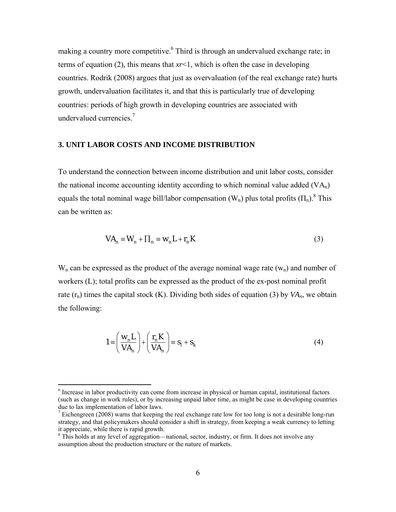making a country more competitive.<sup>6</sup> Third is through an undervalued exchange rate; in terms of equation (2), this means that *xr*<1, which is often the case in developing countries. Rodrik (2008) argues that just as overvaluation (of the real exchange rate) hurts growth, undervaluation facilitates it, and that this is particularly true of developing countries: periods of high growth in developing countries are associated with undervalued currencies.<sup>7</sup>

#### **3. UNIT LABOR COSTS AND INCOME DISTRIBUTION**

To understand the connection between income distribution and unit labor costs, consider the national income accounting identity according to which nominal value added  $(VA_n)$ equals the total nominal wage bill/labor compensation (W<sub>n</sub>) plus total profits ( $\Pi_n$ ).<sup>8</sup> This can be written as:

$$
VAn \equiv Wn + \prod_{n} w_{n}L + r_{n}K
$$
 (3)

 $W_n$  can be expressed as the product of the average nominal wage rate  $(w_n)$  and number of workers (L); total profits can be expressed as the product of the ex-post nominal profit rate  $(r_n)$  times the capital stock (K). Dividing both sides of equation (3) by  $VA_n$ , we obtain the following:

$$
1 = \left(\frac{w_n L}{VA_n}\right) + \left(\frac{r_n K}{VA_n}\right) = s_l + s_k
$$
\n(4)

<sup>&</sup>lt;sup>6</sup> Increase in labor productivity can come from increase in physical or human capital, institutional factors (such as change in work rules), or by increasing unpaid labor time, as might be case in developing countries due to lax implementation of labor laws.

 $<sup>7</sup>$  Eichengreen (2008) warns that keeping the real exchange rate low for too long is not a desirable long-run</sup> strategy, and that policymakers should consider a shift in strategy, from keeping a weak currency to letting it appreciate, while there is rapid growth.

<sup>&</sup>lt;sup>8</sup> This holds at any level of aggregation—national, sector, industry, or firm. It does not involve any assumption about the production structure or the nature of markets.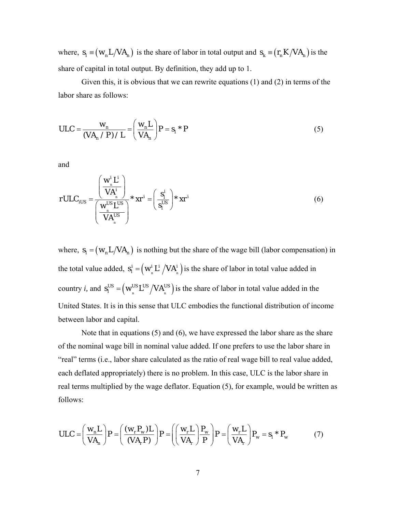where,  $s_l \equiv (w_n L / V A_n)$  is the share of labor in total output and  $s_k \equiv (r_n K / V A_n)$  is the share of capital in total output. By definition, they add up to 1.

Given this, it is obvious that we can rewrite equations  $(1)$  and  $(2)$  in terms of the labor share as follows:

$$
ULC = \frac{W_n}{(VA_n / P) / L} = \left(\frac{W_n L}{VA_n}\right) P = s_l * P
$$
 (5)

and

$$
rULC_{iUS} = \frac{\left(\frac{W^i}{\nu A_i^i}\right)}{\left(\frac{W^{US}_{n}L^{US}}{VA_i^{US}}\right)^*} \cdot xr^i = \left(\frac{s_i^i}{s_i^{US}}\right)^* xr^i
$$
\n
$$
(6)
$$

where,  $s_l = (w_n L / V A_n)$  is nothing but the share of the wage bill (labor compensation) in the total value added,  $s_i^i = \left( w_i^i L^i / V A_i^i \right)$  is the share of labor in total value added in country *i*, and  $s_i^{US} = \left( w_i^{US} L^{US} / V A_i^{US} \right)$  is the share of labor in total value added in the United States. It is in this sense that ULC embodies the functional distribution of income between labor and capital.

Note that in equations (5) and (6), we have expressed the labor share as the share of the nominal wage bill in nominal value added. If one prefers to use the labor share in "real" terms (i.e., labor share calculated as the ratio of real wage bill to real value added, each deflated appropriately) there is no problem. In this case, ULC is the labor share in real terms multiplied by the wage deflator. Equation (5), for example, would be written as follows:

$$
ULC = \left(\frac{W_n L}{VA_n}\right) P = \left(\frac{(W_r P_w) L}{(VA_r P)}\right) P = \left(\left(\frac{W_r L}{VA_r}\right) \frac{P_w}{P}\right) P = \left(\frac{W_r L}{VA_r}\right) P_w = s_l^* P_w \tag{7}
$$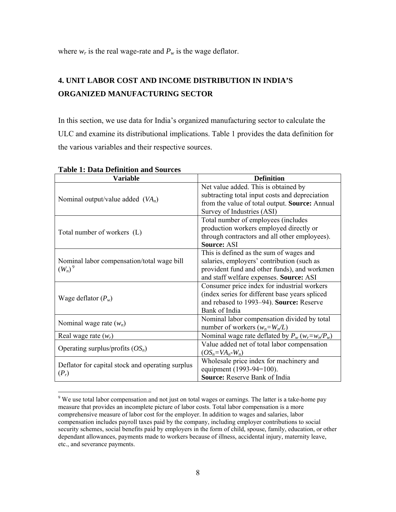where  $w_r$  is the real wage-rate and  $P_w$  is the wage deflator.

# **4. UNIT LABOR COST AND INCOME DISTRIBUTION IN INDIA'S ORGANIZED MANUFACTURING SECTOR**

In this section, we use data for India's organized manufacturing sector to calculate the ULC and examine its distributional implications. Table 1 provides the data definition for the various variables and their respective sources.

| <b>Variable</b>                                             | <b>Definition</b>                                    |
|-------------------------------------------------------------|------------------------------------------------------|
| Nominal output/value added $(VA_n)$                         | Net value added. This is obtained by                 |
|                                                             | subtracting total input costs and depreciation       |
|                                                             | from the value of total output. Source: Annual       |
|                                                             | Survey of Industries (ASI)                           |
| Total number of workers (L)                                 | Total number of employees (includes                  |
|                                                             | production workers employed directly or              |
|                                                             | through contractors and all other employees).        |
|                                                             | <b>Source: ASI</b>                                   |
| Nominal labor compensation/total wage bill<br>$(W_n)^9$     | This is defined as the sum of wages and              |
|                                                             | salaries, employers' contribution (such as           |
|                                                             | provident fund and other funds), and workmen         |
|                                                             | and staff welfare expenses. Source: ASI              |
| Wage deflator $(P_w)$                                       | Consumer price index for industrial workers          |
|                                                             | (index series for different base years spliced       |
|                                                             | and rebased to 1993–94). Source: Reserve             |
|                                                             | Bank of India                                        |
| Nominal wage rate $(w_n)$                                   | Nominal labor compensation divided by total          |
|                                                             | number of workers $(w_n = W_n/L)$                    |
| Real wage rate $(w_r)$                                      | Nominal wage rate deflated by $P_w(w_r = w_n / P_w)$ |
| Operating surplus/profits $OS_n$ )                          | Value added net of total labor compensation          |
|                                                             | $(OS_n=VA_n-W_n)$                                    |
| Deflator for capital stock and operating surplus<br>$(P_r)$ | Wholesale price index for machinery and              |
|                                                             | equipment (1993-94=100).                             |
|                                                             | <b>Source:</b> Reserve Bank of India                 |

### **Table 1: Data Definition and Sources**

<sup>&</sup>lt;sup>9</sup> We use total labor compensation and not just on total wages or earnings. The latter is a take-home pay measure that provides an incomplete picture of labor costs. Total labor compensation is a more comprehensive measure of labor cost for the employer. In addition to wages and salaries, labor compensation includes payroll taxes paid by the company, including employer contributions to social security schemes, social benefits paid by employers in the form of child, spouse, family, education, or other dependant allowances, payments made to workers because of illness, accidental injury, maternity leave, etc., and severance payments.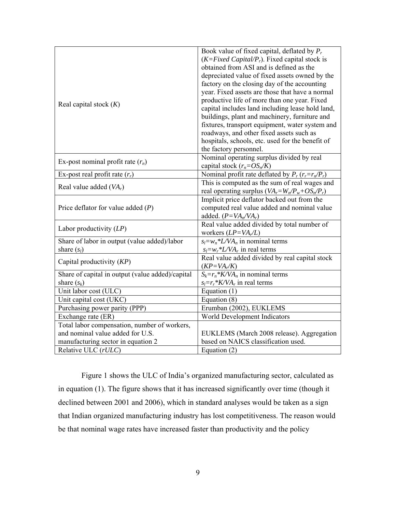|                                                  | Book value of fixed capital, deflated by $P_r$        |
|--------------------------------------------------|-------------------------------------------------------|
| Real capital stock $(K)$                         | $(K = Fixed Capital/P_r)$ . Fixed capital stock is    |
|                                                  | obtained from ASI and is defined as the               |
|                                                  | depreciated value of fixed assets owned by the        |
|                                                  | factory on the closing day of the accounting          |
|                                                  | year. Fixed assets are those that have a normal       |
|                                                  | productive life of more than one year. Fixed          |
|                                                  | capital includes land including lease hold land,      |
|                                                  | buildings, plant and machinery, furniture and         |
|                                                  | fixtures, transport equipment, water system and       |
|                                                  | roadways, and other fixed assets such as              |
|                                                  | hospitals, schools, etc. used for the benefit of      |
|                                                  | the factory personnel.                                |
| Ex-post nominal profit rate $(r_n)$              | Nominal operating surplus divided by real             |
|                                                  | capital stock $(r_n = OS_n/K)$                        |
| Ex-post real profit rate $(r_r)$                 | Nominal profit rate deflated by $P_r (r_r = r_n/P_r)$ |
| Real value added $(VA_r)$                        | This is computed as the sum of real wages and         |
|                                                  | real operating surplus $(VA_r = W_n/P_w + OS_n/P_r)$  |
| Price deflator for value added $(P)$             | Implicit price deflator backed out from the           |
|                                                  | computed real value added and nominal value           |
|                                                  | added. $(P = VAn/VAr)$                                |
| Labor productivity $(LP)$                        | Real value added divided by total number of           |
|                                                  | workers $(LP=VAr/L)$                                  |
| Share of labor in output (value added)/labor     | $s_l = w_n * L/VA_n$ in nominal terms                 |
| share $(sl)$                                     | $s_l = w_r * L/VA_r$ in real terms                    |
| Capital productivity $(KP)$                      | Real value added divided by real capital stock        |
|                                                  | $(KP=VA, K)$                                          |
| Share of capital in output (value added)/capital | $S_k = r_n * K/VA_n$ in nominal terms                 |
| share $(s_k)$                                    | $s_l = r_r * K/VA_r$ in real terms                    |
| Unit labor cost (ULC)                            | Equation $(1)$                                        |
| Unit capital cost (UKC)                          | Equation (8)                                          |
| Purchasing power parity (PPP)                    | Erumban (2002), EUKLEMS                               |
| Exchange rate (ER)                               | World Development Indicators                          |
| Total labor compensation, number of workers,     |                                                       |
| and nominal value added for U.S.                 | EUKLEMS (March 2008 release). Aggregation             |
| manufacturing sector in equation 2               | based on NAICS classification used.                   |
| Relative ULC (rULC)                              | Equation (2)                                          |

Figure 1 shows the ULC of India's organized manufacturing sector, calculated as in equation (1). The figure shows that it has increased significantly over time (though it declined between 2001 and 2006), which in standard analyses would be taken as a sign that Indian organized manufacturing industry has lost competitiveness. The reason would be that nominal wage rates have increased faster than productivity and the policy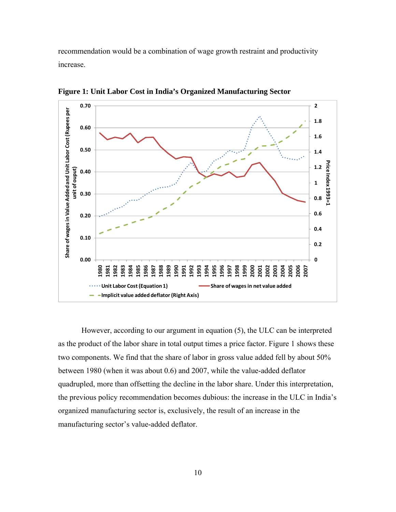recommendation would be a combination of wage growth restraint and productivity increase.



**Figure 1: Unit Labor Cost in India's Organized Manufacturing Sector**

However, according to our argument in equation (5), the ULC can be interpreted as the product of the labor share in total output times a price factor. Figure 1 shows these two components. We find that the share of labor in gross value added fell by about 50% between 1980 (when it was about 0.6) and 2007, while the value-added deflator quadrupled, more than offsetting the decline in the labor share. Under this interpretation, the previous policy recommendation becomes dubious: the increase in the ULC in India's organized manufacturing sector is, exclusively, the result of an increase in the manufacturing sector's value-added deflator.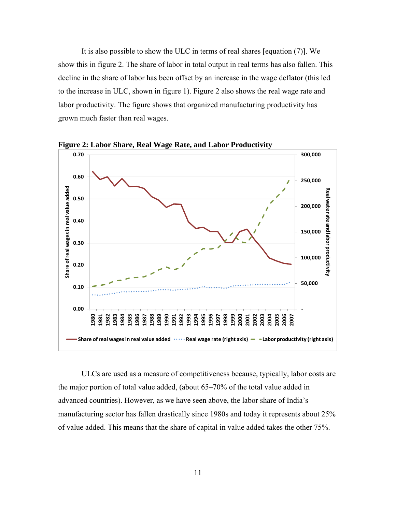It is also possible to show the ULC in terms of real shares [equation (7)]. We show this in figure 2. The share of labor in total output in real terms has also fallen. This decline in the share of labor has been offset by an increase in the wage deflator (this led to the increase in ULC, shown in figure 1). Figure 2 also shows the real wage rate and labor productivity. The figure shows that organized manufacturing productivity has grown much faster than real wages.



**Figure 2: Labor Share, Real Wage Rate, and Labor Productivity** 

ULCs are used as a measure of competitiveness because, typically, labor costs are the major portion of total value added, (about 65–70% of the total value added in advanced countries). However, as we have seen above, the labor share of India's manufacturing sector has fallen drastically since 1980s and today it represents about 25% of value added. This means that the share of capital in value added takes the other 75%.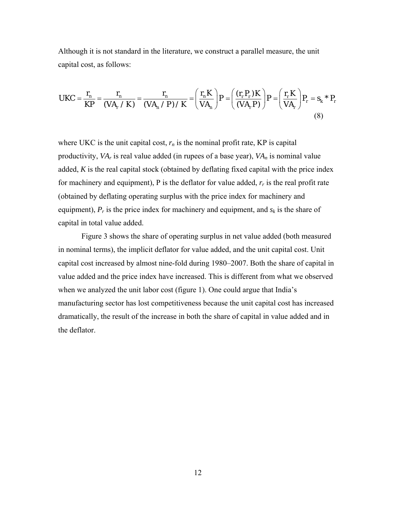Although it is not standard in the literature, we construct a parallel measure, the unit capital cost, as follows:

$$
UKC = \frac{r_n}{KP} = \frac{r_n}{(VA_r/K)} = \frac{r_n}{(VA_n/R)/K} = \left(\frac{r_nK}{VA_n}\right)P = \left(\frac{(r_rP_r)K}{(VA_rP)}\right)P = \left(\frac{r_rK}{VA_r}\right)P_r = s_k * P_r
$$
\n(8)

where UKC is the unit capital cost,  $r_n$  is the nominal profit rate, KP is capital productivity, *VAr* is real value added (in rupees of a base year), *VAn* is nominal value added, *K* is the real capital stock (obtained by deflating fixed capital with the price index for machinery and equipment), P is the deflator for value added,  $r_r$  is the real profit rate (obtained by deflating operating surplus with the price index for machinery and equipment),  $P_r$  is the price index for machinery and equipment, and  $s_k$  is the share of capital in total value added.

Figure 3 shows the share of operating surplus in net value added (both measured in nominal terms), the implicit deflator for value added, and the unit capital cost. Unit capital cost increased by almost nine-fold during 1980–2007. Both the share of capital in value added and the price index have increased. This is different from what we observed when we analyzed the unit labor cost (figure 1). One could argue that India's manufacturing sector has lost competitiveness because the unit capital cost has increased dramatically, the result of the increase in both the share of capital in value added and in the deflator.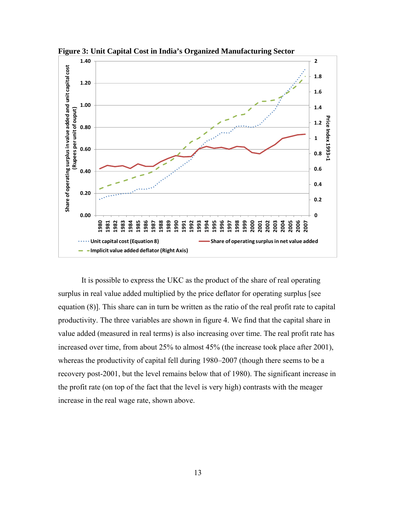

**Figure 3: Unit Capital Cost in India's Organized Manufacturing Sector** 

It is possible to express the UKC as the product of the share of real operating surplus in real value added multiplied by the price deflator for operating surplus [see equation (8)]. This share can in turn be written as the ratio of the real profit rate to capital productivity. The three variables are shown in figure 4. We find that the capital share in value added (measured in real terms) is also increasing over time. The real profit rate has increased over time, from about 25% to almost 45% (the increase took place after 2001), whereas the productivity of capital fell during 1980–2007 (though there seems to be a recovery post-2001, but the level remains below that of 1980). The significant increase in the profit rate (on top of the fact that the level is very high) contrasts with the meager increase in the real wage rate, shown above.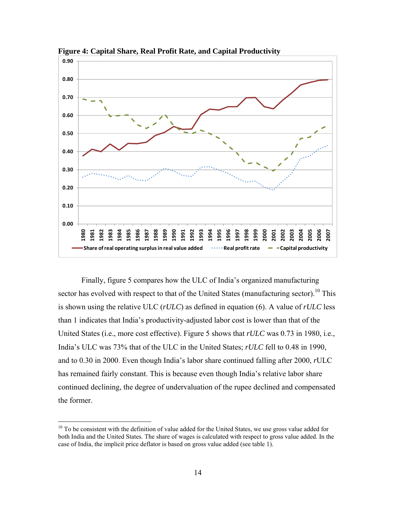

**Figure 4: Capital Share, Real Profit Rate, and Capital Productivity** 

Finally, figure 5 compares how the ULC of India's organized manufacturing sector has evolved with respect to that of the United States (manufacturing sector).<sup>10</sup> This is shown using the relative ULC (*rULC*) as defined in equation (6). A value of *rULC* less than 1 indicates that India's productivity-adjusted labor cost is lower than that of the United States (i.e., more cost effective). Figure 5 shows that *rULC* was 0.73 in 1980, i.e., India's ULC was 73% that of the ULC in the United States; *rULC* fell to 0.48 in 1990, and to 0.30 in 2000. Even though India's labor share continued falling after 2000, *r*ULC has remained fairly constant. This is because even though India's relative labor share continued declining, the degree of undervaluation of the rupee declined and compensated the former.

 $10$  To be consistent with the definition of value added for the United States, we use gross value added for both India and the United States. The share of wages is calculated with respect to gross value added. In the case of India, the implicit price deflator is based on gross value added (see table 1).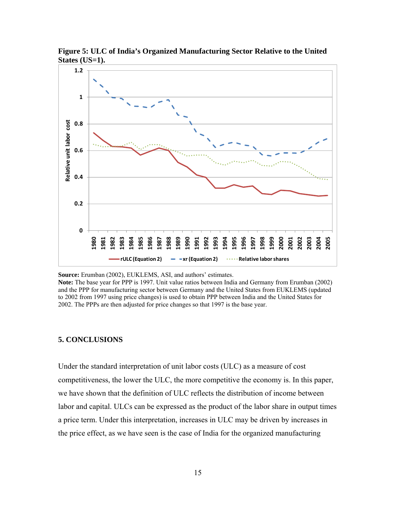

**Figure 5: ULC of India's Organized Manufacturing Sector Relative to the United States (US=1).** 

**Source:** Erumban (2002), EUKLEMS, ASI, and authors' estimates.

**Note:** The base year for PPP is 1997. Unit value ratios between India and Germany from Erumban (2002) and the PPP for manufacturing sector between Germany and the United States from EUKLEMS (updated to 2002 from 1997 using price changes) is used to obtain PPP between India and the United States for 2002. The PPPs are then adjusted for price changes so that 1997 is the base year.

#### **5. CONCLUSIONS**

Under the standard interpretation of unit labor costs (ULC) as a measure of cost competitiveness, the lower the ULC, the more competitive the economy is. In this paper, we have shown that the definition of ULC reflects the distribution of income between labor and capital. ULCs can be expressed as the product of the labor share in output times a price term. Under this interpretation, increases in ULC may be driven by increases in the price effect, as we have seen is the case of India for the organized manufacturing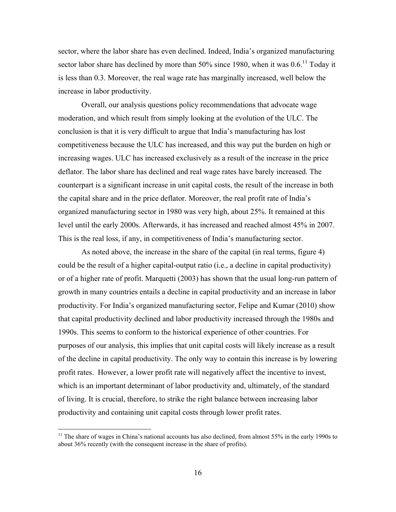sector, where the labor share has even declined. Indeed, India's organized manufacturing sector labor share has declined by more than  $50\%$  since 1980, when it was  $0.6$ .<sup>11</sup> Today it is less than 0.3. Moreover, the real wage rate has marginally increased, well below the increase in labor productivity.

Overall, our analysis questions policy recommendations that advocate wage moderation, and which result from simply looking at the evolution of the ULC. The conclusion is that it is very difficult to argue that India's manufacturing has lost competitiveness because the ULC has increased, and this way put the burden on high or increasing wages. ULC has increased exclusively as a result of the increase in the price deflator. The labor share has declined and real wage rates have barely increased. The counterpart is a significant increase in unit capital costs, the result of the increase in both the capital share and in the price deflator. Moreover, the real profit rate of India's organized manufacturing sector in 1980 was very high, about 25%. It remained at this level until the early 2000s. Afterwards, it has increased and reached almost 45% in 2007. This is the real loss, if any, in competitiveness of India's manufacturing sector.

As noted above, the increase in the share of the capital (in real terms, figure 4) could be the result of a higher capital-output ratio (i.e., a decline in capital productivity) or of a higher rate of profit. Marquetti (2003) has shown that the usual long-run pattern of growth in many countries entails a decline in capital productivity and an increase in labor productivity. For India's organized manufacturing sector, Felipe and Kumar (2010) show that capital productivity declined and labor productivity increased through the 1980s and 1990s. This seems to conform to the historical experience of other countries. For purposes of our analysis, this implies that unit capital costs will likely increase as a result of the decline in capital productivity. The only way to contain this increase is by lowering profit rates. However, a lower profit rate will negatively affect the incentive to invest, which is an important determinant of labor productivity and, ultimately, of the standard of living. It is crucial, therefore, to strike the right balance between increasing labor productivity and containing unit capital costs through lower profit rates.

<sup>&</sup>lt;sup>11</sup> The share of wages in China's national accounts has also declined, from almost 55% in the early 1990s to about 36% recently (with the consequent increase in the share of profits).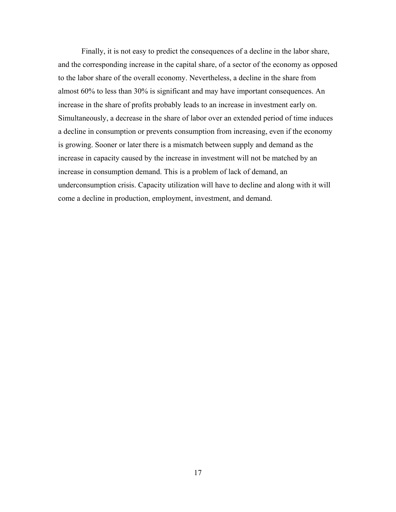Finally, it is not easy to predict the consequences of a decline in the labor share, and the corresponding increase in the capital share, of a sector of the economy as opposed to the labor share of the overall economy. Nevertheless, a decline in the share from almost 60% to less than 30% is significant and may have important consequences. An increase in the share of profits probably leads to an increase in investment early on. Simultaneously, a decrease in the share of labor over an extended period of time induces a decline in consumption or prevents consumption from increasing, even if the economy is growing. Sooner or later there is a mismatch between supply and demand as the increase in capacity caused by the increase in investment will not be matched by an increase in consumption demand. This is a problem of lack of demand, an underconsumption crisis. Capacity utilization will have to decline and along with it will come a decline in production, employment, investment, and demand.